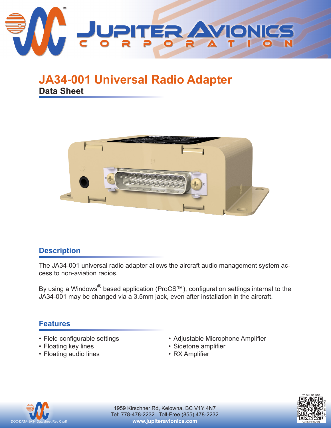

# **JA34-001 Universal Radio Adapter Data Sheet**



## **Description**

The JA34-001 universal radio adapter allows the aircraft audio management system access to non-aviation radios.

By using a Windows<sup>®</sup> based application (ProCS™), configuration settings internal to the JA34-001 may be changed via a 3.5mm jack, even after installation in the aircraft.

## **Features**

- Field configurable settings
- Floating key lines
- Floating audio lines
- Adjustable Microphone Amplifier
- Sidetone amplifier
- RX Amplifier